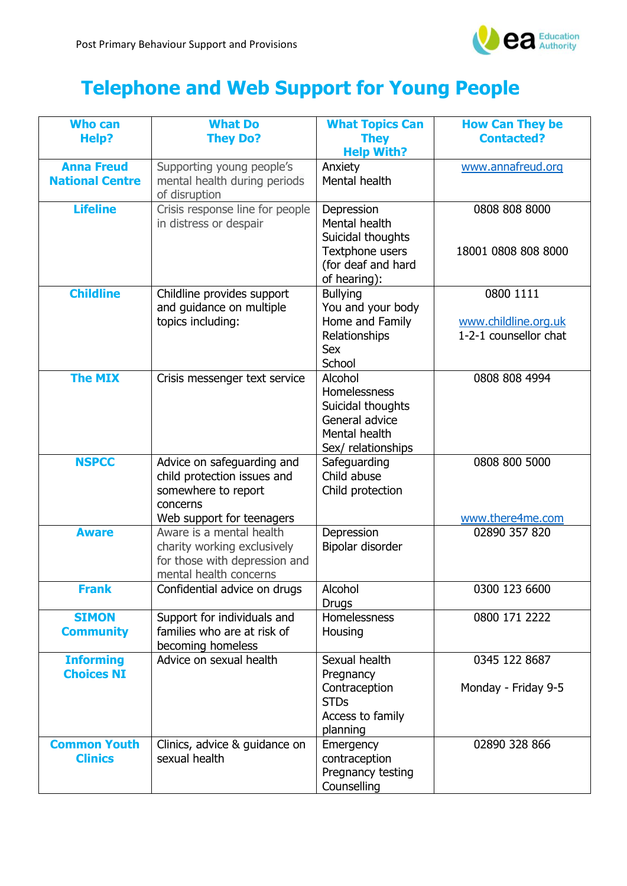

## **Telephone and Web Support for Young People**

| <b>Who can</b><br>Help?                     | <b>What Do</b><br><b>They Do?</b>                                                                                         | <b>What Topics Can</b><br><b>They</b>                                                                     | <b>How Can They be</b><br><b>Contacted?</b>                |
|---------------------------------------------|---------------------------------------------------------------------------------------------------------------------------|-----------------------------------------------------------------------------------------------------------|------------------------------------------------------------|
|                                             |                                                                                                                           | <b>Help With?</b>                                                                                         |                                                            |
| <b>Anna Freud</b><br><b>National Centre</b> | Supporting young people's<br>mental health during periods<br>of disruption                                                | Anxiety<br>Mental health                                                                                  | www.annafreud.org                                          |
| <b>Lifeline</b>                             | Crisis response line for people<br>in distress or despair                                                                 | Depression<br>Mental health<br>Suicidal thoughts<br>Textphone users<br>(for deaf and hard<br>of hearing): | 0808 808 8000<br>18001 0808 808 8000                       |
| <b>Childline</b>                            | Childline provides support<br>and guidance on multiple<br>topics including:                                               | <b>Bullying</b><br>You and your body<br>Home and Family<br>Relationships<br><b>Sex</b><br>School          | 0800 1111<br>www.childline.org.uk<br>1-2-1 counsellor chat |
| <b>The MIX</b>                              | Crisis messenger text service                                                                                             | Alcohol<br>Homelessness<br>Suicidal thoughts<br>General advice<br>Mental health<br>Sex/ relationships     | 0808 808 4994                                              |
| <b>NSPCC</b>                                | Advice on safeguarding and<br>child protection issues and<br>somewhere to report<br>concerns<br>Web support for teenagers | Safeguarding<br>Child abuse<br>Child protection                                                           | 0808 800 5000<br>www.there4me.com                          |
| <b>Aware</b>                                | Aware is a mental health<br>charity working exclusively<br>for those with depression and<br>mental health concerns        | Depression<br>Bipolar disorder                                                                            | 02890 357 820                                              |
| Frank                                       | Confidential advice on drugs                                                                                              | Alcohol<br><b>Drugs</b>                                                                                   | 0300 123 6600                                              |
| <b>SIMON</b><br><b>Community</b>            | Support for individuals and<br>families who are at risk of<br>becoming homeless                                           | Homelessness<br>Housing                                                                                   | 0800 171 2222                                              |
| <b>Informing</b><br><b>Choices NI</b>       | Advice on sexual health                                                                                                   | Sexual health<br>Pregnancy<br>Contraception<br><b>STDs</b><br>Access to family<br>planning                | 0345 122 8687<br>Monday - Friday 9-5                       |
| <b>Common Youth</b><br><b>Clinics</b>       | Clinics, advice & guidance on<br>sexual health                                                                            | Emergency<br>contraception<br>Pregnancy testing<br>Counselling                                            | 02890 328 866                                              |